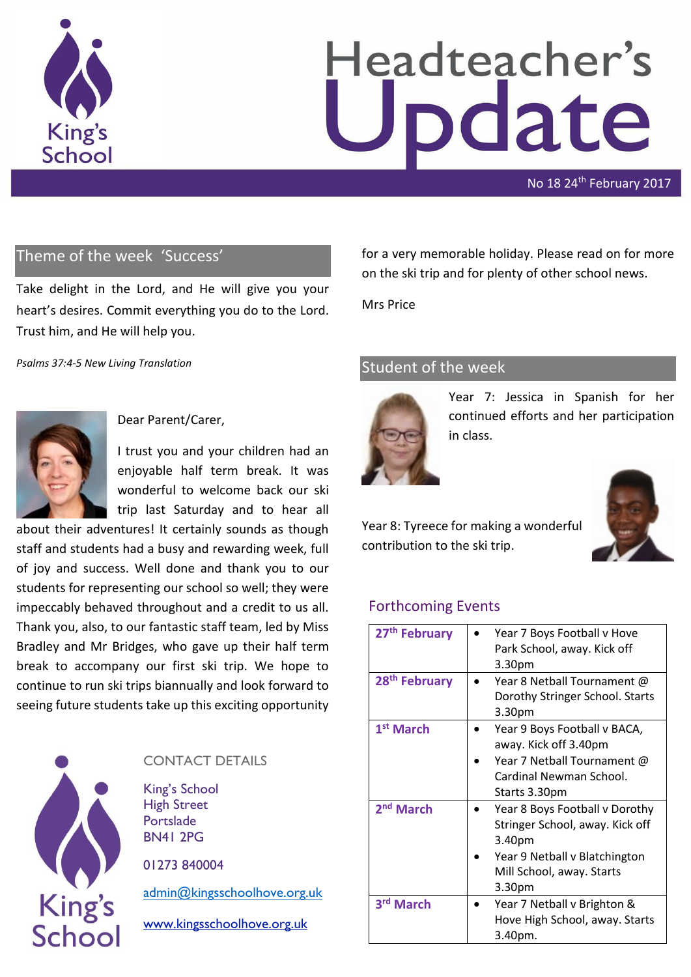

# Headteacher's odate

No 18 24<sup>th</sup> February 2017

### Theme of the week 'Success'

Take delight in the Lord, and He will give you your heart's desires. Commit everything you do to the Lord. Trust him, and He will help you.

*Psalms 37:4-5 New Living Translation*



Dear Parent/Carer,

I trust you and your children had an enjoyable half term break. It was wonderful to welcome back our ski trip last Saturday and to hear all

about their adventures! It certainly sounds as though staff and students had a busy and rewarding week, full of joy and success. Well done and thank you to our students for representing our school so well; they were impeccably behaved throughout and a credit to us all. Thank you, also, to our fantastic staff team, led by Miss Bradley and Mr Bridges, who gave up their half term break to accompany our first ski trip. We hope to continue to run ski trips biannually and look forward to seeing future students take up this exciting opportunity



### CONTACT DETAILS

King's School High Street Portslade BN41 2PG

01273 840004

[admin@kingsschoolhove.org.uk](mailto:admin@kingsschoolhove.org.uk)

[www.kingsschoolhove.org.uk](http://www.kingsschoolhove.org.uk/)

for a very memorable holiday. Please read on for more on the ski trip and for plenty of other school news.

Mrs Price

### Student of the week



Year 7: Jessica in Spanish for her continued efforts and her participation in class.

Year 8: Tyreece for making a wonderful contribution to the ski trip.

### Forthcoming Events

| 27 <sup>th</sup> February | Year 7 Boys Football v Hove<br>Park School, away. Kick off<br>3.30pm                                                                                            |
|---------------------------|-----------------------------------------------------------------------------------------------------------------------------------------------------------------|
| 28 <sup>th</sup> February | Year 8 Netball Tournament @<br>Dorothy Stringer School. Starts<br>3.30 <sub>pm</sub>                                                                            |
| 1 <sup>st</sup> March     | Year 9 Boys Football v BACA,<br>away. Kick off 3.40pm<br>Year 7 Netball Tournament @<br>Cardinal Newman School.<br>Starts 3.30pm                                |
| 2 <sup>nd</sup> March     | Year 8 Boys Football v Dorothy<br>Stringer School, away. Kick off<br>3.40pm<br>Year 9 Netball v Blatchington<br>Mill School, away. Starts<br>3.30 <sub>pm</sub> |
| 3rd March                 | Year 7 Netball v Brighton &<br>Hove High School, away. Starts<br>3.40pm.                                                                                        |

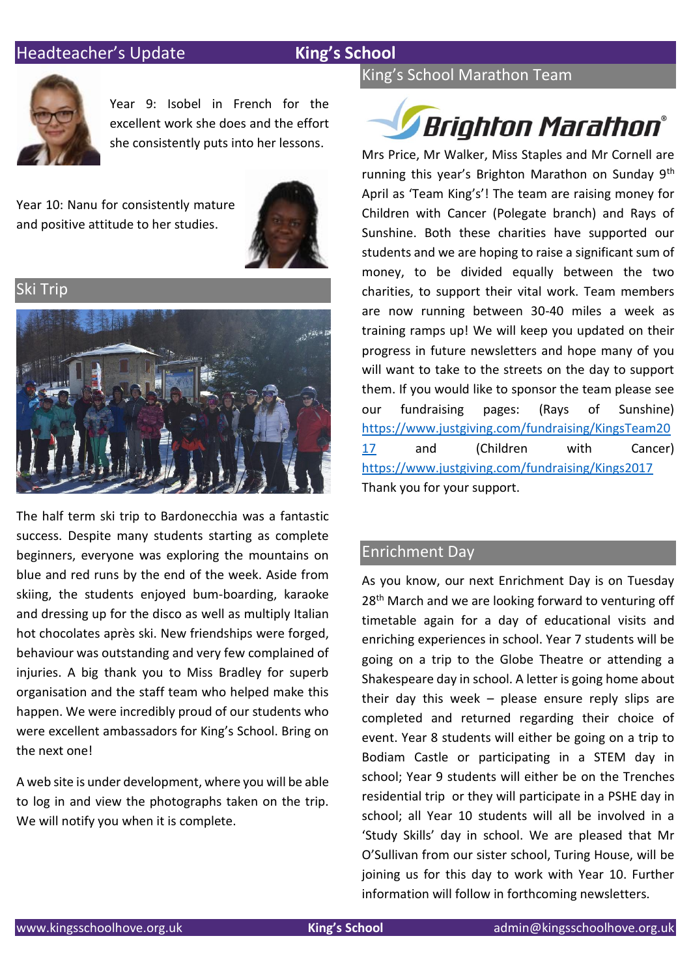### **Headteacher's Update King's School**



Year 9: Isobel in French for the excellent work she does and the effort she consistently puts into her lessons.

Year 10: Nanu for consistently mature and positive attitude to her studies.



Ski Trip



The half term ski trip to Bardonecchia was a fantastic success. Despite many students starting as complete beginners, everyone was exploring the mountains on blue and red runs by the end of the week. Aside from skiing, the students enjoyed bum-boarding, karaoke and dressing up for the disco as well as multiply Italian hot chocolates après ski. New friendships were forged, behaviour was outstanding and very few complained of injuries. A big thank you to Miss Bradley for superb organisation and the staff team who helped make this happen. We were incredibly proud of our students who were excellent ambassadors for King's School. Bring on the next one!

A web site is under development, where you will be able to log in and view the photographs taken on the trip. We will notify you when it is complete.

### King's School Marathon Team

## **Brighton Marathon®**

Mrs Price, Mr Walker, Miss Staples and Mr Cornell are running this year's Brighton Marathon on Sunday 9th April as 'Team King's'! The team are raising money for Children with Cancer (Polegate branch) and Rays of Sunshine. Both these charities have supported our students and we are hoping to raise a significant sum of money, to be divided equally between the two charities, to support their vital work. Team members are now running between 30-40 miles a week as training ramps up! We will keep you updated on their progress in future newsletters and hope many of you will want to take to the streets on the day to support them. If you would like to sponsor the team please see our fundraising pages: (Rays of Sunshine) [https://www.justgiving.com/fundraising/KingsTeam20](https://www.justgiving.com/fundraising/KingsTeam2017) [17](https://www.justgiving.com/fundraising/KingsTeam2017) and (Children with Cancer) <https://www.justgiving.com/fundraising/Kings2017> Thank you for your support.

### Enrichment Day

As you know, our next Enrichment Day is on Tuesday 28<sup>th</sup> March and we are looking forward to venturing off timetable again for a day of educational visits and enriching experiences in school. Year 7 students will be going on a trip to the Globe Theatre or attending a Shakespeare day in school. A letter is going home about their day this week – please ensure reply slips are completed and returned regarding their choice of event. Year 8 students will either be going on a trip to Bodiam Castle or participating in a STEM day in school; Year 9 students will either be on the Trenches residential trip or they will participate in a PSHE day in school; all Year 10 students will all be involved in a 'Study Skills' day in school. We are pleased that Mr O'Sullivan from our sister school, Turing House, will be joining us for this day to work with Year 10. Further information will follow in forthcoming newsletters.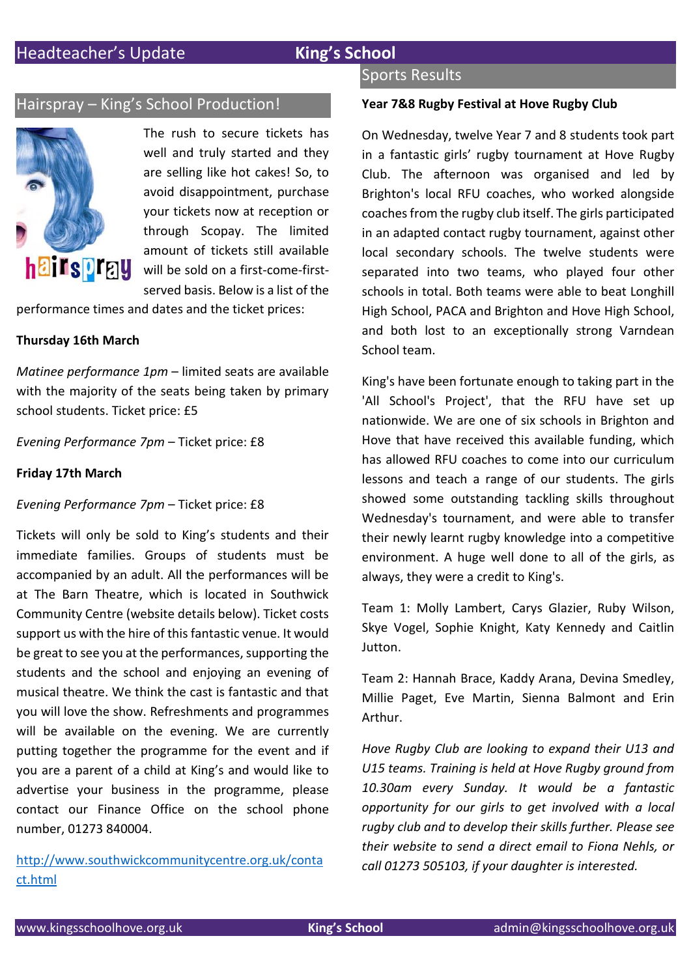### Hairspray – King's School Production!



The rush to secure tickets has well and truly started and they are selling like hot cakes! So, to avoid disappointment, purchase your tickets now at reception or through Scopay. The limited amount of tickets still available will be sold on a first-come-firstserved basis. Below is a list of the

performance times and dates and the ticket prices:

### **Thursday 16th March**

*Matinee performance 1pm* – limited seats are available with the majority of the seats being taken by primary school students. Ticket price: £5

*Evening Performance 7pm* – Ticket price: £8

### **Friday 17th March**

### *Evening Performance 7pm* – Ticket price: £8

Tickets will only be sold to King's students and their immediate families. Groups of students must be accompanied by an adult. All the performances will be at The Barn Theatre, which is located in Southwick Community Centre (website details below). Ticket costs support us with the hire of this fantastic venue. It would be great to see you at the performances, supporting the students and the school and enjoying an evening of musical theatre. We think the cast is fantastic and that you will love the show. Refreshments and programmes will be available on the evening. We are currently putting together the programme for the event and if you are a parent of a child at King's and would like to advertise your business in the programme, please contact our Finance Office on the school phone number, 01273 840004.

[http://www.southwickcommunitycentre.org.uk/conta](http://www.southwickcommunitycentre.org.uk/conta%20ct.html)  [ct.html](http://www.southwickcommunitycentre.org.uk/conta%20ct.html)

### Sports Results

### **Year 7&8 Rugby Festival at Hove Rugby Club**

On Wednesday, twelve Year 7 and 8 students took part in a fantastic girls' rugby tournament at Hove Rugby Club. The afternoon was organised and led by Brighton's local RFU coaches, who worked alongside coaches from the rugby club itself. The girls participated in an adapted contact rugby tournament, against other local secondary schools. The twelve students were separated into two teams, who played four other schools in total. Both teams were able to beat Longhill High School, PACA and Brighton and Hove High School, and both lost to an exceptionally strong Varndean School team.

King's have been fortunate enough to taking part in the 'All School's Project', that the RFU have set up nationwide. We are one of six schools in Brighton and Hove that have received this available funding, which has allowed RFU coaches to come into our curriculum lessons and teach a range of our students. The girls showed some outstanding tackling skills throughout Wednesday's tournament, and were able to transfer their newly learnt rugby knowledge into a competitive environment. A huge well done to all of the girls, as always, they were a credit to King's.

Team 1: Molly Lambert, Carys Glazier, Ruby Wilson, Skye Vogel, Sophie Knight, Katy Kennedy and Caitlin Jutton.

Team 2: Hannah Brace, Kaddy Arana, Devina Smedley, Millie Paget, Eve Martin, Sienna Balmont and Erin Arthur.

*Hove Rugby Club are looking to expand their U13 and U15 teams. Training is held at Hove Rugby ground from 10.30am every Sunday. It would be a fantastic opportunity for our girls to get involved with a local rugby club and to develop their skills further. Please see their website to send a direct email to Fiona Nehls, or call 01273 505103, if your daughter is interested.*